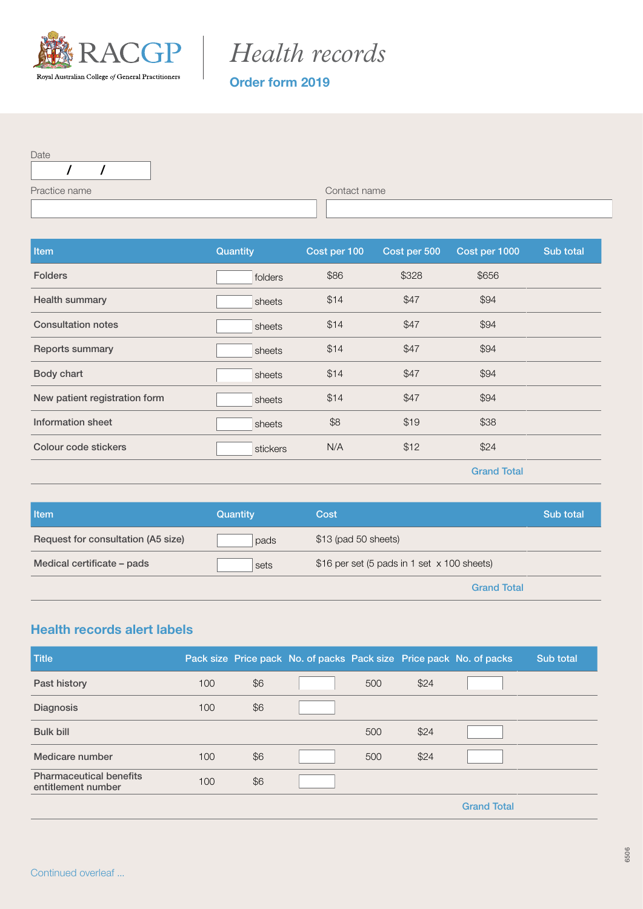

# *Health records*

Order form 2019

| Date          |  |
|---------------|--|
|               |  |
| Practice name |  |

Contact name

| <b>Item</b>                   | Quantity | Cost per 100 | Cost per 500   | Cost per 1000 | Sub total |
|-------------------------------|----------|--------------|----------------|---------------|-----------|
| <b>Folders</b>                | folders  | \$86         | \$328<br>\$656 |               |           |
| <b>Health summary</b>         | sheets   | \$14         | \$47           | \$94          |           |
| <b>Consultation notes</b>     | sheets   | \$14         | \$47           | \$94          |           |
| <b>Reports summary</b>        | sheets   | \$14         | \$47           | \$94          |           |
| Body chart                    | sheets   | \$14         | \$47           | \$94          |           |
| New patient registration form | sheets   | \$14         | \$47           | \$94          |           |
| <b>Information sheet</b>      | sheets   | \$8          | \$19           | \$38          |           |
| Colour code stickers          | stickers | N/A          | \$12<br>\$24   |               |           |
|                               |          |              |                | Cropol Total  |           |

Grand **Total** 

| l Item                             | Quantity | Cost                                        | Sub total |
|------------------------------------|----------|---------------------------------------------|-----------|
| Request for consultation (A5 size) | pads     | $$13$ (pad 50 sheets)                       |           |
| Medical certificate – pads         | sets     | \$16 per set (5 pads in 1 set x 100 sheets) |           |
|                                    |          | ______                                      |           |

Grand Total

#### Health records alert labels

| <b>Title</b>                                         |     |     | Pack size Price pack No. of packs Pack size Price pack No. of packs |     |      |                    | Sub total |
|------------------------------------------------------|-----|-----|---------------------------------------------------------------------|-----|------|--------------------|-----------|
| Past history                                         | 100 | \$6 |                                                                     | 500 | \$24 |                    |           |
| <b>Diagnosis</b>                                     | 100 | \$6 |                                                                     |     |      |                    |           |
| <b>Bulk bill</b>                                     |     |     |                                                                     | 500 | \$24 |                    |           |
| Medicare number                                      | 100 | \$6 |                                                                     | 500 | \$24 |                    |           |
| <b>Pharmaceutical benefits</b><br>entitlement number | 100 | \$6 |                                                                     |     |      |                    |           |
|                                                      |     |     |                                                                     |     |      | <b>Grand Total</b> |           |